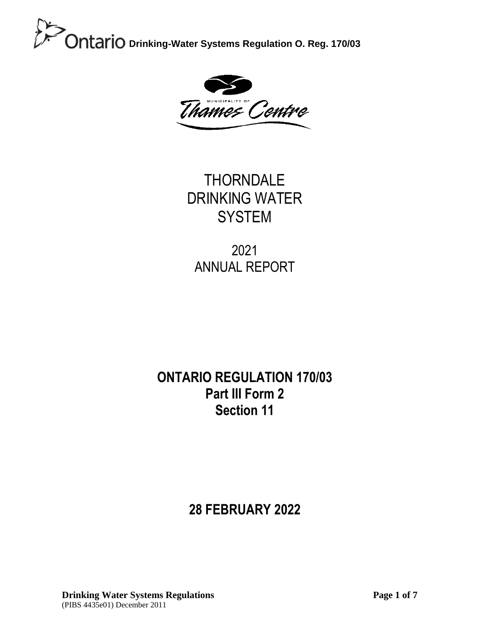

**THORNDALE** DRINKING WATER **SYSTEM** 

2021 ANNUAL REPORT

### **ONTARIO REGULATION 170/03 Part III Form 2 Section 11**

### **28 FEBRUARY 2022**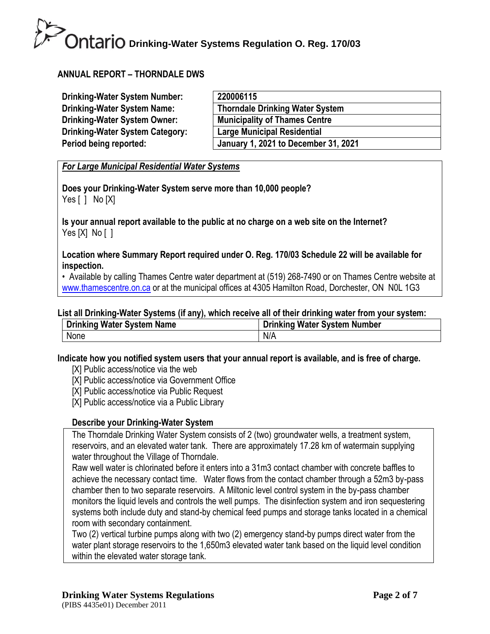#### **ANNUAL REPORT – THORNDALE DWS**

| <b>Drinking-Water System Number:</b>   | 220006115                              |
|----------------------------------------|----------------------------------------|
| <b>Drinking-Water System Name:</b>     | <b>Thorndale Drinking Water System</b> |
| Drinking-Water System Owner:           | <b>Municipality of Thames Centre</b>   |
| <b>Drinking-Water System Category:</b> | <b>Large Municipal Residential</b>     |
| Period being reported:                 | January 1, 2021 to December 31, 2021   |

*For Large Municipal Residential Water Systems*

**Does your Drinking-Water System serve more than 10,000 people?** Yes [ ] No [X]

**Is your annual report available to the public at no charge on a web site on the Internet?**  Yes [X] No [ ]

**Location where Summary Report required under O. Reg. 170/03 Schedule 22 will be available for inspection.** 

• Available by calling Thames Centre water department at (519) 268-7490 or on Thames Centre website at [www.thamescentre.on.ca](http://www.thamescentre.on.ca/) or at the municipal offices at 4305 Hamilton Road, Dorchester, ON NOL 1G3

#### **List all Drinking-Water Systems (if any), which receive all of their drinking water from your system:**

| <b>Drinking Water System Name</b> | <b>Drinking Water System Number</b> |
|-----------------------------------|-------------------------------------|
| None                              | N/A                                 |

**Indicate how you notified system users that your annual report is available, and is free of charge.** 

- [X] Public access/notice via the web
- [X] Public access/notice via Government Office
- [X] Public access/notice via Public Request
- [X] Public access/notice via a Public Library

#### **Describe your Drinking-Water System**

The Thorndale Drinking Water System consists of 2 (two) groundwater wells, a treatment system, reservoirs, and an elevated water tank. There are approximately 17.28 km of watermain supplying water throughout the Village of Thorndale.

Raw well water is chlorinated before it enters into a 31m3 contact chamber with concrete baffles to achieve the necessary contact time. Water flows from the contact chamber through a 52m3 by-pass chamber then to two separate reservoirs. A Miltonic level control system in the by-pass chamber monitors the liquid levels and controls the well pumps. The disinfection system and iron sequestering systems both include duty and stand-by chemical feed pumps and storage tanks located in a chemical room with secondary containment.

Two (2) vertical turbine pumps along with two (2) emergency stand-by pumps direct water from the water plant storage reservoirs to the 1,650m3 elevated water tank based on the liquid level condition within the elevated water storage tank.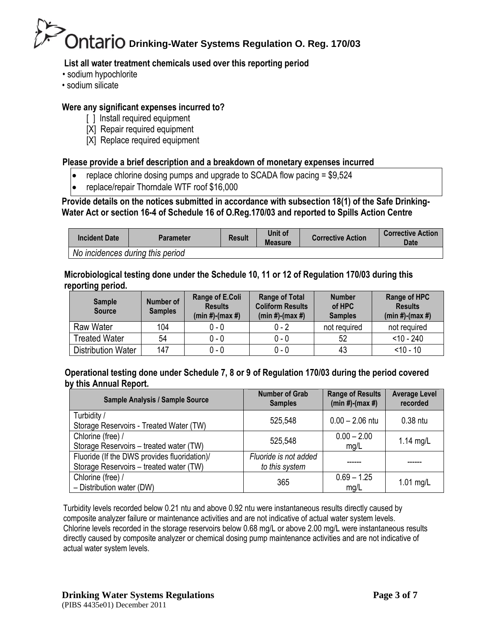#### **List all water treatment chemicals used over this reporting period**

- sodium hypochlorite
- sodium silicate

#### **Were any significant expenses incurred to?**

- [ ] Install required equipment
- [X] Repair required equipment
- [X] Replace required equipment

#### **Please provide a brief description and a breakdown of monetary expenses incurred**

- replace chlorine dosing pumps and upgrade to SCADA flow pacing  $= $9.524$
- replace/repair Thorndale WTF roof \$16,000

**Provide details on the notices submitted in accordance with subsection 18(1) of the Safe Drinking-Water Act or section 16-4 of Schedule 16 of O.Reg.170/03 and reported to Spills Action Centre** 

| <b>Incident Date</b>             | <b>Parameter</b> | <b>Result</b> | Unit of<br><b>Measure</b> | <b>Corrective Action</b> | <b>Corrective Action</b><br>Date |
|----------------------------------|------------------|---------------|---------------------------|--------------------------|----------------------------------|
| No incidences during this period |                  |               |                           |                          |                                  |

#### **Microbiological testing done under the Schedule 10, 11 or 12 of Regulation 170/03 during this reporting period.**

| <b>Sample</b><br><b>Source</b> | Number of<br><b>Samples</b> | Range of E.Coli<br><b>Results</b><br>$(min #)-(max #)$ | <b>Range of Total</b><br><b>Coliform Results</b><br>$(min #)-(max #)$ | <b>Number</b><br>of HPC<br><b>Samples</b> | Range of HPC<br><b>Results</b><br>$(min #)-(max #)$ |
|--------------------------------|-----------------------------|--------------------------------------------------------|-----------------------------------------------------------------------|-------------------------------------------|-----------------------------------------------------|
| <b>Raw Water</b>               | 104                         | $0 - 0$                                                | $0 - 2$                                                               | not required                              | not required                                        |
| <b>Treated Water</b>           | 54                          | $0 - 0$                                                | $0 - 0$                                                               | 52                                        | $<$ 10 - 240                                        |
| <b>Distribution Water</b>      | 147                         | $0 - 0$                                                | $0 - 0$                                                               | 43                                        | $< 10 - 10$                                         |

#### **Operational testing done under Schedule 7, 8 or 9 of Regulation 170/03 during the period covered by this Annual Report.**

| Sample Analysis / Sample Source                                                         | <b>Number of Grab</b><br><b>Samples</b> | <b>Range of Results</b><br>$(min #)-(max #)$ | <b>Average Level</b><br>recorded |
|-----------------------------------------------------------------------------------------|-----------------------------------------|----------------------------------------------|----------------------------------|
| Turbidity /<br>Storage Reservoirs - Treated Water (TW)                                  | 525,548                                 | $0.00 - 2.06$ ntu                            | 0.38 ntu                         |
| Chlorine (free) /<br>Storage Reservoirs - treated water (TW)                            | 525,548                                 | $0.00 - 2.00$<br>mg/L                        | 1.14 $mg/L$                      |
| Fluoride (If the DWS provides fluoridation)/<br>Storage Reservoirs - treated water (TW) | Fluoride is not added<br>to this system |                                              |                                  |
| Chlorine (free) /<br>- Distribution water (DW)                                          | 365                                     | $0.69 - 1.25$<br>mg/L                        | $1.01$ mg/L                      |

Turbidity levels recorded below 0.21 ntu and above 0.92 ntu were instantaneous results directly caused by composite analyzer failure or maintenance activities and are not indicative of actual water system levels. Chlorine levels recorded in the storage reservoirs below 0.68 mg/L or above 2.00 mg/L were instantaneous results directly caused by composite analyzer or chemical dosing pump maintenance activities and are not indicative of actual water system levels.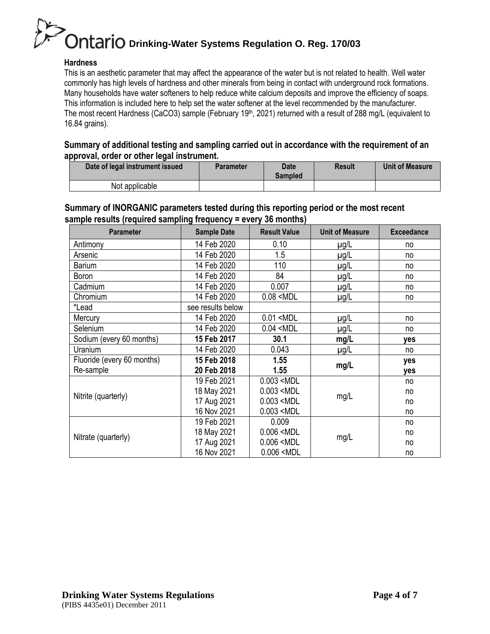#### **Hardness**

This is an aesthetic parameter that may affect the appearance of the water but is not related to health. Well water commonly has high levels of hardness and other minerals from being in contact with underground rock formations. Many households have water softeners to help reduce white calcium deposits and improve the efficiency of soaps. This information is included here to help set the water softener at the level recommended by the manufacturer. The most recent Hardness (CaCO3) sample (February 19<sup>th</sup>, 2021) returned with a result of 288 mg/L (equivalent to 16.84 grains).

#### **Summary of additional testing and sampling carried out in accordance with the requirement of an approval, order or other legal instrument.**

| Date of legal instrument issued | Parameter | Date<br>Sampled | Result | Unit of Measure |
|---------------------------------|-----------|-----------------|--------|-----------------|
| Not applicable                  |           |                 |        |                 |

#### **Summary of INORGANIC parameters tested during this reporting period or the most recent sample results (required sampling frequency = every 36 months)**

| <b>Parameter</b>           | <b>Sample Date</b> | <b>Result Value</b>                                               | <b>Unit of Measure</b> | <b>Exceedance</b> |
|----------------------------|--------------------|-------------------------------------------------------------------|------------------------|-------------------|
| Antimony                   | 14 Feb 2020        | 0.10                                                              | $\mu$ g/L              | no                |
| Arsenic                    | 14 Feb 2020        | 1.5                                                               | $\mu$ g/L              | no                |
| <b>Barium</b>              | 14 Feb 2020        | 110                                                               | $\mu$ g/L              | no                |
| Boron                      | 14 Feb 2020        | 84                                                                | $\mu$ g/L              | no                |
| Cadmium                    | 14 Feb 2020        | 0.007                                                             | $\mu$ g/L              | no                |
| Chromium                   | 14 Feb 2020        | $0.08$ <mdl< td=""><td><math>\mu</math>g/L</td><td>no</td></mdl<> | $\mu$ g/L              | no                |
| *Lead                      | see results below  |                                                                   |                        |                   |
| Mercury                    | 14 Feb 2020        | $0.01$ <mdl< td=""><td><math>\mu</math>g/L</td><td>no</td></mdl<> | $\mu$ g/L              | no                |
| Selenium                   | 14 Feb 2020        | $0.04$ <mdl< td=""><td><math>\mu</math>g/L</td><td>no</td></mdl<> | $\mu$ g/L              | no                |
| Sodium (every 60 months)   | 15 Feb 2017        | 30.1                                                              | mg/L                   | yes               |
| Uranium                    | 14 Feb 2020        | 0.043                                                             | $\mu$ g/L              | no                |
| Fluoride (every 60 months) | 15 Feb 2018        | 1.55                                                              |                        | yes               |
| Re-sample                  | 20 Feb 2018        | 1.55                                                              | mg/L                   | yes               |
|                            | 19 Feb 2021        | $0.003$ <mdl< td=""><td></td><td>no</td></mdl<>                   |                        | no                |
| Nitrite (quarterly)        | 18 May 2021        | $0.003$ <mdl< td=""><td>mg/L</td><td>no</td></mdl<>               | mg/L                   | no                |
|                            | 17 Aug 2021        | $0.003$ <mdl< td=""><td></td><td>no</td></mdl<>                   |                        | no                |
|                            | 16 Nov 2021        | $0.003$ <mdl< td=""><td></td><td>no</td></mdl<>                   |                        | no                |
|                            | 19 Feb 2021        | 0.009                                                             |                        | no                |
| Nitrate (quarterly)        | 18 May 2021        | $0.006$ <mdl< td=""><td>mg/L</td><td>no</td></mdl<>               | mg/L                   | no                |
|                            | 17 Aug 2021        | $0.006$ <mdl< td=""><td></td><td>no</td></mdl<>                   |                        | no                |
|                            | 16 Nov 2021        | $0.006$ <mdl< td=""><td></td><td>no</td></mdl<>                   |                        | no                |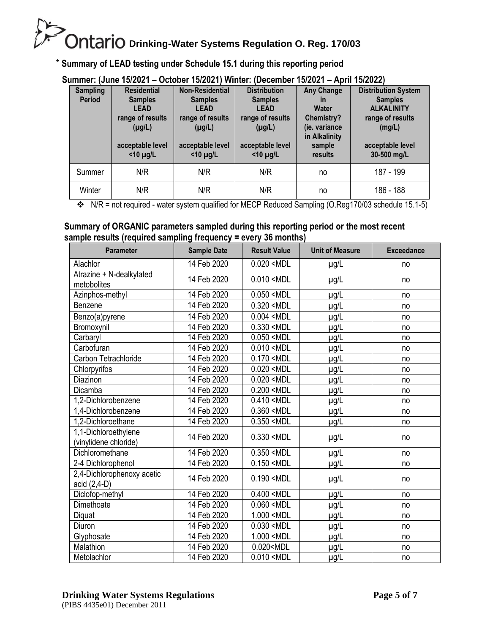#### \* **Summary of LEAD testing under Schedule 15.1 during this reporting period**

| JUIIIIIIEI. IJUIIE TJ/ZUZT – OGLODEL TJ/ZUZTI VVIIILEI. IDEGEIIIDEL<br>$1JIZULI = MJIII IJIZUZZI$ |                    |                        |                     |                   |                            |  |
|---------------------------------------------------------------------------------------------------|--------------------|------------------------|---------------------|-------------------|----------------------------|--|
| <b>Sampling</b>                                                                                   | <b>Residential</b> | <b>Non-Residential</b> | <b>Distribution</b> | <b>Any Change</b> | <b>Distribution System</b> |  |
| <b>Period</b>                                                                                     | <b>Samples</b>     | <b>Samples</b>         | <b>Samples</b>      | $\mathsf{I}$      | <b>Samples</b>             |  |
|                                                                                                   | <b>LEAD</b>        | <b>LEAD</b>            | <b>LEAD</b>         | Water             | <b>ALKALINITY</b>          |  |
|                                                                                                   | range of results   | range of results       | range of results    | <b>Chemistry?</b> | range of results           |  |
|                                                                                                   | $(\mu g/L)$        | $(\mu g/L)$            | $(\mu g/L)$         | (ie. variance     | (mg/L)                     |  |
|                                                                                                   |                    |                        |                     | in Alkalinity     |                            |  |
|                                                                                                   |                    |                        |                     |                   |                            |  |
|                                                                                                   | acceptable level   | acceptable level       | acceptable level    | sample            | acceptable level           |  |
|                                                                                                   | $<$ 10 µg/L        | $<$ 10 µg/L            | $<$ 10 µg/L         | results           | 30-500 mg/L                |  |
| Summer                                                                                            | N/R                | N/R                    | N/R                 | no                | 187 - 199                  |  |
| Winter                                                                                            | N/R                | N/R                    | N/R                 | no                | 186 - 188                  |  |

#### **Summer: (June 15/2021 – October 15/2021) Winter: (December 15/2021 – April 15/2022)**

N/R = not required - water system qualified for MECP Reduced Sampling (O.Reg170/03 schedule 15.1-5)

#### **Summary of ORGANIC parameters sampled during this reporting period or the most recent sample results (required sampling frequency = every 36 months)**

| Parameter                                     | <b>Sample Date</b> | <b>Result Value</b>                                                | <b>Unit of Measure</b> | <b>Exceedance</b> |
|-----------------------------------------------|--------------------|--------------------------------------------------------------------|------------------------|-------------------|
| Alachlor                                      | 14 Feb 2020        | $0.020$ <mdl< td=""><td><math>\mu</math>g/L</td><td>no</td></mdl<> | $\mu$ g/L              | no                |
| Atrazine + N-dealkylated<br>metobolites       | 14 Feb 2020        | $0.010$ <mdl< td=""><td><math>\mu</math>g/L</td><td>no</td></mdl<> | $\mu$ g/L              | no                |
| Azinphos-methyl                               | 14 Feb 2020        | $0.050$ <mdl< td=""><td><math>\mu</math>g/L</td><td>no</td></mdl<> | $\mu$ g/L              | no                |
| Benzene                                       | 14 Feb 2020        | $0.320$ <mdl< td=""><td><math>\mu</math>g/L</td><td>no</td></mdl<> | $\mu$ g/L              | no                |
| Benzo(a)pyrene                                | 14 Feb 2020        | $0.004$ <mdl< td=""><td>µg/L</td><td>no</td></mdl<>                | µg/L                   | no                |
| Bromoxynil                                    | 14 Feb 2020        | $0.330$ <mdl< td=""><td>µg/L</td><td>no</td></mdl<>                | µg/L                   | no                |
| Carbaryl                                      | 14 Feb 2020        | $0.050$ <mdl< td=""><td>µg/L</td><td>no</td></mdl<>                | µg/L                   | no                |
| Carbofuran                                    | 14 Feb 2020        | $0.010$ <mdl< td=""><td><math>\mu</math>g/L</td><td>no</td></mdl<> | $\mu$ g/L              | no                |
| Carbon Tetrachloride                          | 14 Feb 2020        | $0.170$ <mdl< td=""><td>µg/L</td><td>no</td></mdl<>                | µg/L                   | no                |
| Chlorpyrifos                                  | 14 Feb 2020        | $0.020$ <mdl< td=""><td>µg/L</td><td>no</td></mdl<>                | µg/L                   | no                |
| Diazinon                                      | 14 Feb 2020        | $0.020$ <mdl< td=""><td><math>\mu</math>g/L</td><td>no</td></mdl<> | $\mu$ g/L              | no                |
| Dicamba                                       | 14 Feb 2020        | 0.200 < MDL                                                        | µg/L                   | no                |
| 1,2-Dichlorobenzene                           | 14 Feb 2020        | $0.410$ <mdl< td=""><td>µg/L</td><td>no</td></mdl<>                | µg/L                   | no                |
| 1,4-Dichlorobenzene                           | 14 Feb 2020        | $0.360$ <mdl< td=""><td>µg/L</td><td>no</td></mdl<>                | µg/L                   | no                |
| 1,2-Dichloroethane                            | 14 Feb 2020        | $0.350$ <mdl< td=""><td>µg/L</td><td>no</td></mdl<>                | µg/L                   | no                |
| 1,1-Dichloroethylene<br>(vinylidene chloride) | 14 Feb 2020        | $0.330$ <mdl< td=""><td><math>\mu</math>g/L</td><td>no</td></mdl<> | $\mu$ g/L              | no                |
| Dichloromethane                               | 14 Feb 2020        | $0.350$ <mdl< td=""><td>µg/L</td><td>no</td></mdl<>                | µg/L                   | no                |
| 2-4 Dichlorophenol                            | 14 Feb 2020        | $0.150$ <mdl< td=""><td>µg/L</td><td>no</td></mdl<>                | µg/L                   | no                |
| 2,4-Dichlorophenoxy acetic<br>acid (2,4-D)    | 14 Feb 2020        | $0.190$ <mdl< td=""><td><math>\mu</math>g/L</td><td>no</td></mdl<> | $\mu$ g/L              | no                |
| Diclofop-methyl                               | 14 Feb 2020        | $0.400$ <mdl< td=""><td>µg/L</td><td>no</td></mdl<>                | µg/L                   | no                |
| Dimethoate                                    | 14 Feb 2020        | $0.060$ <mdl< td=""><td>µg/L</td><td>no</td></mdl<>                | µg/L                   | no                |
| Diquat                                        | 14 Feb 2020        | 1.000 <mdl< td=""><td>µg/L</td><td>no</td></mdl<>                  | µg/L                   | no                |
| Diuron                                        | 14 Feb 2020        | $0.030$ <mdl< td=""><td>µg/L</td><td>no</td></mdl<>                | µg/L                   | no                |
| Glyphosate                                    | 14 Feb 2020        | 1.000 <mdl< td=""><td>µg/L</td><td>no</td></mdl<>                  | µg/L                   | no                |
| Malathion                                     | 14 Feb 2020        | 0.020 <mdl< td=""><td>µg/L</td><td>no</td></mdl<>                  | µg/L                   | no                |
| Metolachlor                                   | 14 Feb 2020        | $0.010$ <mdl< td=""><td>µg/L</td><td>no</td></mdl<>                | µg/L                   | no                |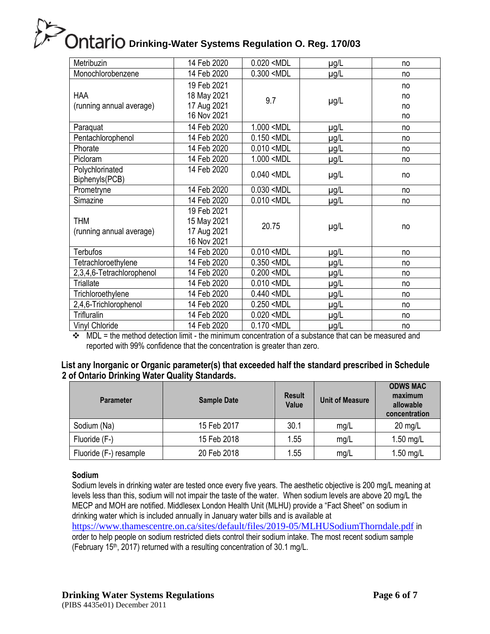| Metribuzin                | 14 Feb 2020                 | $0.020$ <mdl< th=""><th><math>\mu</math>g/L</th><th>no</th></mdl<> | $\mu$ g/L   | no |
|---------------------------|-----------------------------|--------------------------------------------------------------------|-------------|----|
| Monochlorobenzene         | 14 Feb 2020                 | 0.300 < MDL                                                        | $\mu$ g/L   | no |
|                           | 19 Feb 2021                 |                                                                    |             | no |
| <b>HAA</b>                | 18 May 2021                 | 9.7                                                                |             | no |
| (running annual average)  | 17 Aug 2021                 |                                                                    | $\mu$ g/L   | no |
|                           | 16 Nov 2021                 |                                                                    |             | no |
| Paraquat                  | 14 Feb 2020                 | 1.000 <mdl< td=""><td><math>\mu</math>g/L</td><td>no</td></mdl<>   | $\mu$ g/L   | no |
| Pentachlorophenol         | 14 Feb 2020                 | $0.150$ <mdl< td=""><td><math>\mu</math>g/L</td><td>no</td></mdl<> | $\mu$ g/L   | no |
| Phorate                   | 14 Feb 2020                 | $0.010$ <mdl< td=""><td><math>\mu</math>g/L</td><td>no</td></mdl<> | $\mu$ g/L   | no |
| Picloram                  | 14 Feb 2020                 | 1.000 <mdl< td=""><td>µg/L</td><td>no</td></mdl<>                  | µg/L        | no |
| Polychlorinated           | 14 Feb 2020                 | $0.040$ <mdl< td=""><td><math>\mu</math>g/L</td><td>no</td></mdl<> | $\mu$ g/L   | no |
| Biphenyls(PCB)            |                             |                                                                    |             |    |
| Prometryne                | 14 Feb 2020                 | $0.030$ <mdl< td=""><td><u>µg/L</u></td><td>no</td></mdl<>         | <u>µg/L</u> | no |
| Simazine                  | 14 Feb 2020                 | $0.010$ <mdl< td=""><td><math>\mu</math>g/L</td><td>no</td></mdl<> | $\mu$ g/L   | no |
|                           | 19 Feb 2021                 |                                                                    |             |    |
| <b>THM</b>                | 15 May 2021                 | 20.75                                                              | $\mu$ g/L   | no |
| (running annual average)  | 17 Aug 2021                 |                                                                    |             |    |
|                           | 16 Nov 2021                 |                                                                    |             |    |
| <b>Terbufos</b>           | 14 Feb 2020                 | $0.010$ <mdl< td=""><td><math>\mu</math>g/L</td><td>no</td></mdl<> | $\mu$ g/L   | no |
| Tetrachloroethylene       | 14 Feb 2020                 | $0.350$ <mdl< td=""><td><math>\mu</math>g/L</td><td>no</td></mdl<> | $\mu$ g/L   | no |
| 2,3,4,6-Tetrachlorophenol | 14 Feb 2020                 | $0.200$ <mdl< td=""><td><math>\mu</math>g/L</td><td>no</td></mdl<> | $\mu$ g/L   | no |
| <b>Triallate</b>          | 14 Feb 2020                 | $0.010$ <mdl< td=""><td>µg/L</td><td>no</td></mdl<>                | µg/L        | no |
| Trichloroethylene         | 14 Feb 2020                 | $0.440$ <mdl< td=""><td><math>\mu</math>g/L</td><td>no</td></mdl<> | $\mu$ g/L   | no |
| 2,4,6-Trichlorophenol     | 14 Feb 2020                 | $0.250$ <mdl< td=""><td><math>\mu</math>g/L</td><td>no</td></mdl<> | $\mu$ g/L   | no |
| Trifluralin               | 14 Feb 2020                 | $0.020$ <mdl< td=""><td><math>\mu</math>g/L</td><td>no</td></mdl<> | $\mu$ g/L   | no |
| Vinyl Chloride            | 14 Feb 2020<br>$\mathbf{r}$ | $0.170$ <mdl< td=""><td><math>\mu</math>g/L</td><td>no</td></mdl<> | $\mu$ g/L   | no |

 $\div$  MDL = the method detection limit - the minimum concentration of a substance that can be measured and reported with 99% confidence that the concentration is greater than zero.

#### **List any Inorganic or Organic parameter(s) that exceeded half the standard prescribed in Schedule 2 of Ontario Drinking Water Quality Standards.**

| <b>Parameter</b>       | <b>Sample Date</b> | <b>Result</b><br>Value | <b>Unit of Measure</b> | <b>ODWS MAC</b><br>maximum<br>allowable<br>concentration |
|------------------------|--------------------|------------------------|------------------------|----------------------------------------------------------|
| Sodium (Na)            | 15 Feb 2017        | 30.1                   | mg/L                   | $20$ mg/L                                                |
| Fluoride (F-)          | 15 Feb 2018        | 1.55                   | mg/L                   | $1.50$ mg/L                                              |
| Fluoride (F-) resample | 20 Feb 2018        | .55                    | mg/L                   | 1.50 mg/L                                                |

#### **Sodium**

Sodium levels in drinking water are tested once every five years. The aesthetic objective is 200 mg/L meaning at levels less than this, sodium will not impair the taste of the water. When sodium levels are above 20 mg/L the MECP and MOH are notified. Middlesex London Health Unit (MLHU) provide a "Fact Sheet" on sodium in drinking water which is included annually in January water bills and is available at

<https://www.thamescentre.on.ca/sites/default/files/2019-05/MLHUSodiumThorndale.pdf> in order to help people on sodium restricted diets control their sodium intake. The most recent sodium sample (February 15 th, 2017) returned with a resulting concentration of 30.1 mg/L.